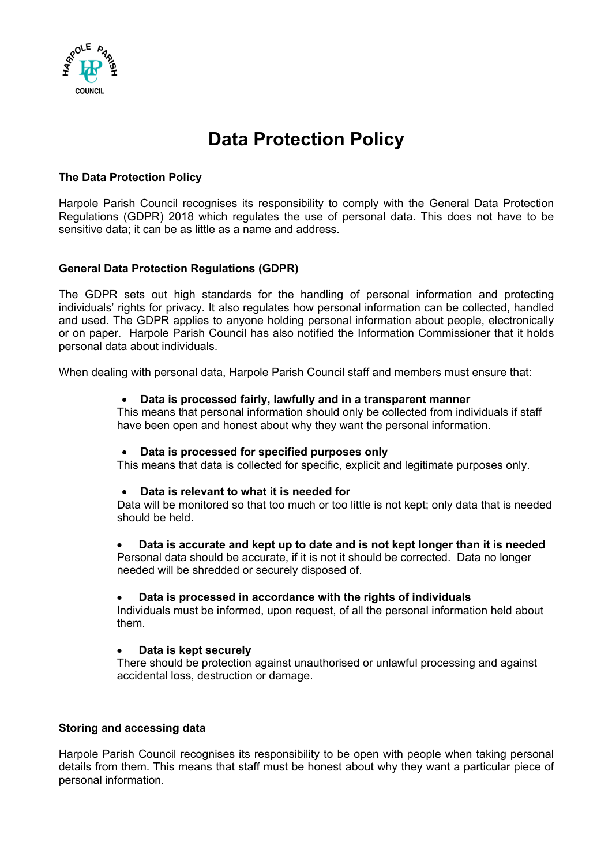

# **Data Protection Policy**

## **The Data Protection Policy**

Harpole Parish Council recognises its responsibility to comply with the General Data Protection Regulations (GDPR) 2018 which regulates the use of personal data. This does not have to be sensitive data; it can be as little as a name and address.

# **General Data Protection Regulations (GDPR)**

The GDPR sets out high standards for the handling of personal information and protecting individuals' rights for privacy. It also regulates how personal information can be collected, handled and used. The GDPR applies to anyone holding personal information about people, electronically or on paper. Harpole Parish Council has also notified the Information Commissioner that it holds personal data about individuals.

When dealing with personal data, Harpole Parish Council staff and members must ensure that:

#### • **Data is processed fairly, lawfully and in a transparent manner**

This means that personal information should only be collected from individuals if staff have been open and honest about why they want the personal information.

#### • **Data is processed for specified purposes only**

This means that data is collected for specific, explicit and legitimate purposes only.

#### • **Data is relevant to what it is needed for**

Data will be monitored so that too much or too little is not kept; only data that is needed should be held.

## • **Data is accurate and kept up to date and is not kept longer than it is needed**

Personal data should be accurate, if it is not it should be corrected. Data no longer needed will be shredded or securely disposed of.

#### • **Data is processed in accordance with the rights of individuals**

Individuals must be informed, upon request, of all the personal information held about them.

## • **Data is kept securely**

There should be protection against unauthorised or unlawful processing and against accidental loss, destruction or damage.

## **Storing and accessing data**

Harpole Parish Council recognises its responsibility to be open with people when taking personal details from them. This means that staff must be honest about why they want a particular piece of personal information.